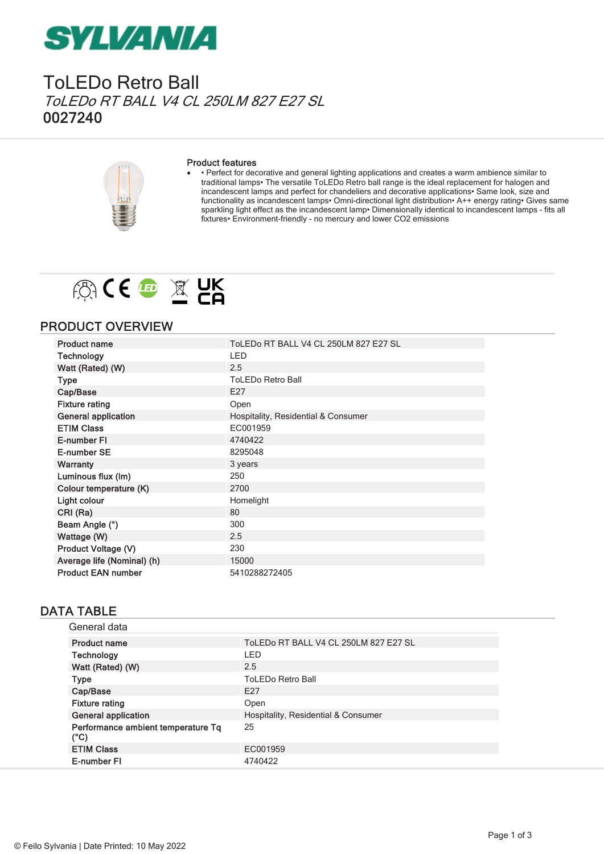## **SYLVANIA**

Tol FDo Retro Ball ToLEDo RT BALL V4 CL 250LM 827 E27 SL 0027240



#### Product features

· • Perfect for decorative and general lighting applications and creates a warm ambience similar to traditional lamps• The versatile ToLEDo Retro ball range is the ideal replacement for halogen and incandescent lamps and perfect for chandeliers and decorative applications• Same look, size and functionality as incandescent lamps• Omni-directional light distribution• A++ energy rating• Gives same sparkling light effect as the incandescent lamp• Dimensionally identical to incandescent lamps - fits all fixtures• Environment-friendly - no mercury and lower CO2 emissions



#### PRODUCT OVERVIEW

| <b>Product name</b>        | ToLEDo RT BALL V4 CL 250LM 827 E27 SL |
|----------------------------|---------------------------------------|
| <b>Technology</b>          | <b>LED</b>                            |
| Watt (Rated) (W)           | 2.5                                   |
| Type                       | <b>ToLEDo Retro Ball</b>              |
| Cap/Base                   | E27                                   |
| <b>Fixture rating</b>      | Open                                  |
| <b>General application</b> | Hospitality, Residential & Consumer   |
| <b>ETIM Class</b>          | EC001959                              |
| E-number FI                | 4740422                               |
| E-number SE                | 8295048                               |
| <b>Warranty</b>            | 3 years                               |
| Luminous flux (Im)         | 250                                   |
| Colour temperature (K)     | 2700                                  |
| Light colour               | Homelight                             |
| CRI (Ra)                   | 80                                    |
| Beam Angle (°)             | 300                                   |
| Wattage (W)                | 2.5                                   |
| Product Voltage (V)        | 230                                   |
| Average life (Nominal) (h) | 15000                                 |
| <b>Product EAN number</b>  | 5410288272405                         |

#### DATA TABLE

| General data                                        |                                       |
|-----------------------------------------------------|---------------------------------------|
| <b>Product name</b>                                 | ToLEDo RT BALL V4 CL 250LM 827 E27 SL |
| Technology                                          | I FD                                  |
| Watt (Rated) (W)                                    | 2.5                                   |
| <b>Type</b>                                         | <b>ToLEDo Retro Ball</b>              |
| Cap/Base                                            | F <sub>27</sub>                       |
| <b>Fixture rating</b>                               | Open                                  |
| <b>General application</b>                          | Hospitality, Residential & Consumer   |
| Performance ambient temperature Tq<br>$(^{\circ}C)$ | 25                                    |
| <b>ETIM Class</b>                                   | EC001959                              |
| E-number FI                                         | 4740422                               |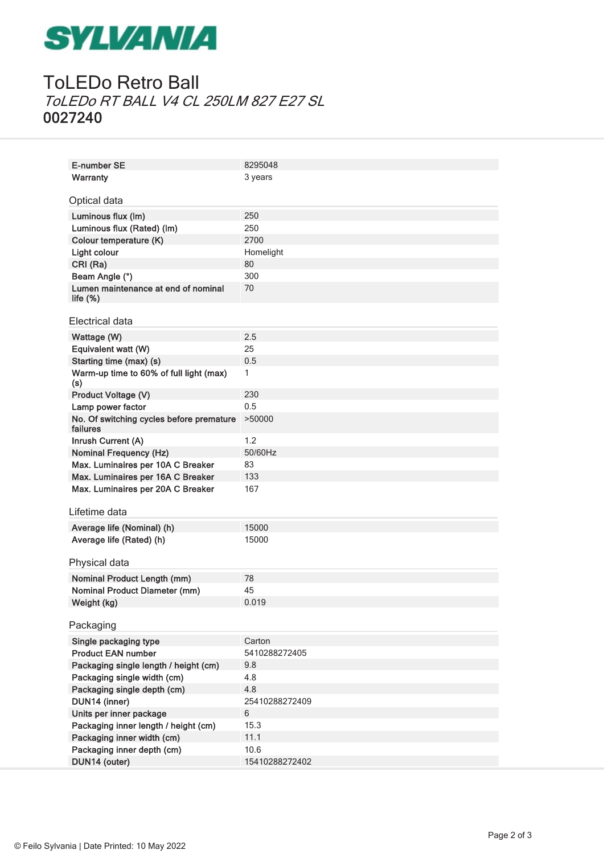# **SYLVANIA**

### ToLEDo Retro Ball ToLEDo RT BALL V4 CL 250LM 827 E27 SL 0027240

| E-number SE                              | 8295048        |
|------------------------------------------|----------------|
| <b>Warranty</b>                          | 3 years        |
|                                          |                |
| Optical data                             |                |
| Luminous flux (Im)                       | 250            |
| Luminous flux (Rated) (Im)               | 250            |
| Colour temperature (K)                   | 2700           |
| Light colour                             | Homelight      |
| CRI (Ra)                                 | 80             |
| Beam Angle (°)                           | 300            |
| Lumen maintenance at end of nominal      | 70             |
| life $(\%)$                              |                |
|                                          |                |
| Electrical data                          |                |
| Wattage (W)                              | 2.5            |
| Equivalent watt (W)                      | 25             |
| Starting time (max) (s)                  | 0.5            |
| Warm-up time to 60% of full light (max)  | 1              |
| (s)<br>Product Voltage (V)               | 230            |
| Lamp power factor                        | 0.5            |
| No. Of switching cycles before premature | >50000         |
| failures                                 |                |
| Inrush Current (A)                       | 1.2            |
| <b>Nominal Frequency (Hz)</b>            | 50/60Hz        |
| Max. Luminaires per 10A C Breaker        | 83             |
| Max. Luminaires per 16A C Breaker        | 133            |
| Max. Luminaires per 20A C Breaker        | 167            |
|                                          |                |
| Lifetime data                            |                |
| Average life (Nominal) (h)               | 15000          |
| Average life (Rated) (h)                 | 15000          |
|                                          |                |
| Physical data                            |                |
| <b>Nominal Product Length (mm)</b>       | 78             |
| <b>Nominal Product Diameter (mm)</b>     | 45             |
| Weight (kg)                              | 0.019          |
|                                          |                |
| Packaging                                |                |
| Single packaging type                    | Carton         |
| <b>Product EAN number</b>                | 5410288272405  |
| Packaging single length / height (cm)    | 9.8            |
| Packaging single width (cm)              | 4.8            |
| Packaging single depth (cm)              | 4.8            |
| DUN14 (inner)                            | 25410288272409 |
| Units per inner package                  | 6              |
| Packaging inner length / height (cm)     | 15.3           |
| Packaging inner width (cm)               | 11.1           |
| Packaging inner depth (cm)               | 10.6           |
| DUN14 (outer)                            | 15410288272402 |